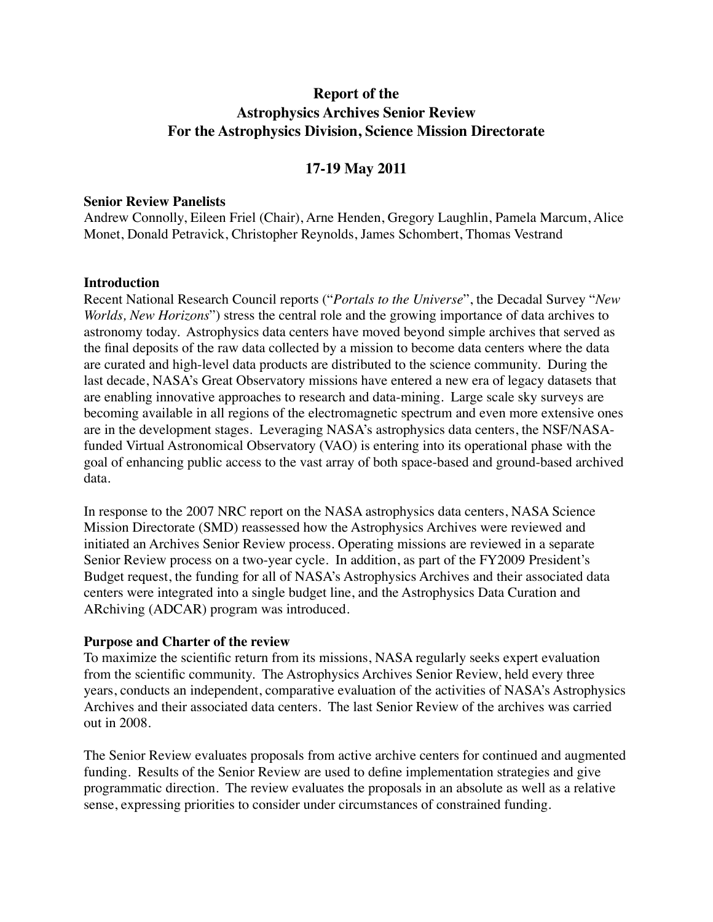# **Report of the Astrophysics Archives Senior Review For the Astrophysics Division, Science Mission Directorate**

# **17-19 May 2011**

#### **Senior Review Panelists**

Andrew Connolly, Eileen Friel (Chair), Arne Henden, Gregory Laughlin, Pamela Marcum, Alice Monet, Donald Petravick, Christopher Reynolds, James Schombert, Thomas Vestrand

#### **Introduction**

Recent National Research Council reports ("*Portals to the Universe*", the Decadal Survey "*New Worlds, New Horizons*") stress the central role and the growing importance of data archives to astronomy today. Astrophysics data centers have moved beyond simple archives that served as the final deposits of the raw data collected by a mission to become data centers where the data are curated and high-level data products are distributed to the science community. During the last decade, NASA's Great Observatory missions have entered a new era of legacy datasets that are enabling innovative approaches to research and data-mining. Large scale sky surveys are becoming available in all regions of the electromagnetic spectrum and even more extensive ones are in the development stages. Leveraging NASA's astrophysics data centers, the NSF/NASAfunded Virtual Astronomical Observatory (VAO) is entering into its operational phase with the goal of enhancing public access to the vast array of both space-based and ground-based archived data.

In response to the 2007 NRC report on the NASA astrophysics data centers, NASA Science Mission Directorate (SMD) reassessed how the Astrophysics Archives were reviewed and initiated an Archives Senior Review process. Operating missions are reviewed in a separate Senior Review process on a two-year cycle. In addition, as part of the FY2009 President's Budget request, the funding for all of NASA's Astrophysics Archives and their associated data centers were integrated into a single budget line, and the Astrophysics Data Curation and ARchiving (ADCAR) program was introduced.

### **Purpose and Charter of the review**

To maximize the scientific return from its missions, NASA regularly seeks expert evaluation from the scientific community. The Astrophysics Archives Senior Review, held every three years, conducts an independent, comparative evaluation of the activities of NASA's Astrophysics Archives and their associated data centers. The last Senior Review of the archives was carried out in 2008.

The Senior Review evaluates proposals from active archive centers for continued and augmented funding. Results of the Senior Review are used to define implementation strategies and give programmatic direction. The review evaluates the proposals in an absolute as well as a relative sense, expressing priorities to consider under circumstances of constrained funding.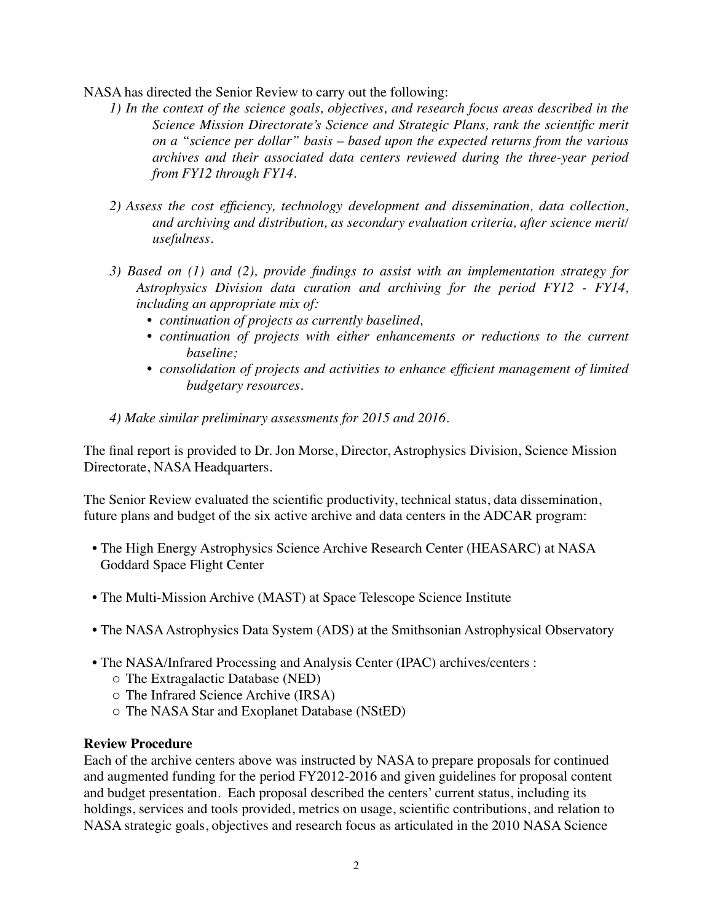NASA has directed the Senior Review to carry out the following:

- *1) In the context of the science goals, objectives, and research focus areas described in the Science Mission Directorate's Science and Strategic Plans, rank the scientific merit on a "science per dollar" basis – based upon the expected returns from the various archives and their associated data centers reviewed during the three-year period from FY12 through FY14.*
- *2) Assess the cost efficiency, technology development and dissemination, data collection, and archiving and distribution, as secondary evaluation criteria, after science merit/ usefulness.*
- *3) Based on (1) and (2), provide findings to assist with an implementation strategy for Astrophysics Division data curation and archiving for the period FY12 - FY14, including an appropriate mix of:*
	- *• continuation of projects as currently baselined,*
	- *• continuation of projects with either enhancements or reductions to the current baseline;*
	- *• consolidation of projects and activities to enhance efficient management of limited budgetary resources.*
- *4) Make similar preliminary assessments for 2015 and 2016.*

The final report is provided to Dr. Jon Morse, Director, Astrophysics Division, Science Mission Directorate, NASA Headquarters.

The Senior Review evaluated the scientific productivity, technical status, data dissemination, future plans and budget of the six active archive and data centers in the ADCAR program:

- The High Energy Astrophysics Science Archive Research Center (HEASARC) at NASA Goddard Space Flight Center
- The Multi-Mission Archive (MAST) at Space Telescope Science Institute
- The NASA Astrophysics Data System (ADS) at the Smithsonian Astrophysical Observatory
- The NASA/Infrared Processing and Analysis Center (IPAC) archives/centers :
	- o The Extragalactic Database (NED)
	- o The Infrared Science Archive (IRSA)
	- o The NASA Star and Exoplanet Database (NStED)

# **Review Procedure**

Each of the archive centers above was instructed by NASA to prepare proposals for continued and augmented funding for the period FY2012-2016 and given guidelines for proposal content and budget presentation. Each proposal described the centers' current status, including its holdings, services and tools provided, metrics on usage, scientific contributions, and relation to NASA strategic goals, objectives and research focus as articulated in the 2010 NASA Science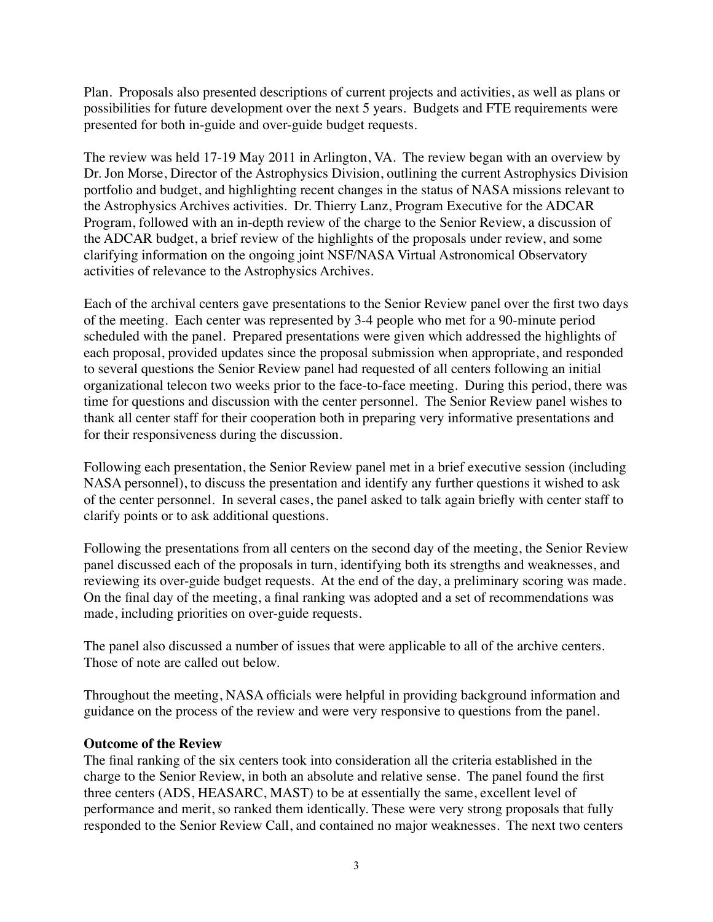Plan. Proposals also presented descriptions of current projects and activities, as well as plans or possibilities for future development over the next 5 years. Budgets and FTE requirements were presented for both in-guide and over-guide budget requests.

The review was held 17-19 May 2011 in Arlington, VA. The review began with an overview by Dr. Jon Morse, Director of the Astrophysics Division, outlining the current Astrophysics Division portfolio and budget, and highlighting recent changes in the status of NASA missions relevant to the Astrophysics Archives activities. Dr. Thierry Lanz, Program Executive for the ADCAR Program, followed with an in-depth review of the charge to the Senior Review, a discussion of the ADCAR budget, a brief review of the highlights of the proposals under review, and some clarifying information on the ongoing joint NSF/NASA Virtual Astronomical Observatory activities of relevance to the Astrophysics Archives.

Each of the archival centers gave presentations to the Senior Review panel over the first two days of the meeting. Each center was represented by 3-4 people who met for a 90-minute period scheduled with the panel. Prepared presentations were given which addressed the highlights of each proposal, provided updates since the proposal submission when appropriate, and responded to several questions the Senior Review panel had requested of all centers following an initial organizational telecon two weeks prior to the face-to-face meeting. During this period, there was time for questions and discussion with the center personnel. The Senior Review panel wishes to thank all center staff for their cooperation both in preparing very informative presentations and for their responsiveness during the discussion.

Following each presentation, the Senior Review panel met in a brief executive session (including NASA personnel), to discuss the presentation and identify any further questions it wished to ask of the center personnel. In several cases, the panel asked to talk again briefly with center staff to clarify points or to ask additional questions.

Following the presentations from all centers on the second day of the meeting, the Senior Review panel discussed each of the proposals in turn, identifying both its strengths and weaknesses, and reviewing its over-guide budget requests. At the end of the day, a preliminary scoring was made. On the final day of the meeting, a final ranking was adopted and a set of recommendations was made, including priorities on over-guide requests.

The panel also discussed a number of issues that were applicable to all of the archive centers. Those of note are called out below.

Throughout the meeting, NASA officials were helpful in providing background information and guidance on the process of the review and were very responsive to questions from the panel.

# **Outcome of the Review**

The final ranking of the six centers took into consideration all the criteria established in the charge to the Senior Review, in both an absolute and relative sense. The panel found the first three centers (ADS, HEASARC, MAST) to be at essentially the same, excellent level of performance and merit, so ranked them identically. These were very strong proposals that fully responded to the Senior Review Call, and contained no major weaknesses. The next two centers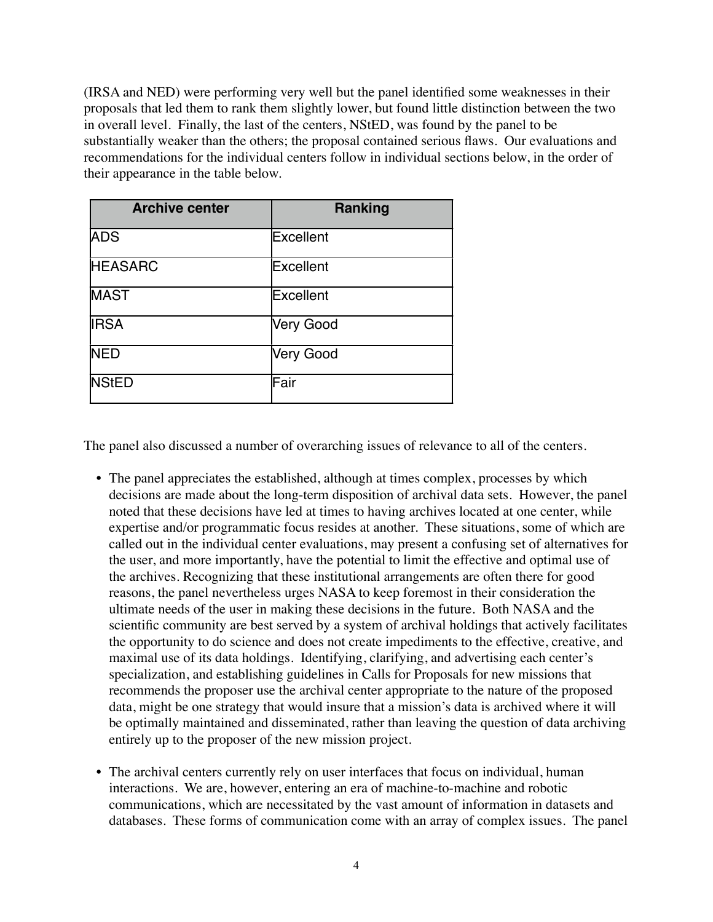(IRSA and NED) were performing very well but the panel identified some weaknesses in their proposals that led them to rank them slightly lower, but found little distinction between the two in overall level. Finally, the last of the centers, NStED, was found by the panel to be substantially weaker than the others; the proposal contained serious flaws. Our evaluations and recommendations for the individual centers follow in individual sections below, in the order of their appearance in the table below.

| <b>Archive center</b> | Ranking          |
|-----------------------|------------------|
| <b>ADS</b>            | Excellent        |
| <b>HEASARC</b>        | <b>Excellent</b> |
| <b>MAST</b>           | <b>Excellent</b> |
| <b>IRSA</b>           | <b>Very Good</b> |
| <b>NED</b>            | Very Good        |
| <b>NStED</b>          | Fair             |

The panel also discussed a number of overarching issues of relevance to all of the centers.

- The panel appreciates the established, although at times complex, processes by which decisions are made about the long-term disposition of archival data sets. However, the panel noted that these decisions have led at times to having archives located at one center, while expertise and/or programmatic focus resides at another. These situations, some of which are called out in the individual center evaluations, may present a confusing set of alternatives for the user, and more importantly, have the potential to limit the effective and optimal use of the archives. Recognizing that these institutional arrangements are often there for good reasons, the panel nevertheless urges NASA to keep foremost in their consideration the ultimate needs of the user in making these decisions in the future. Both NASA and the scientific community are best served by a system of archival holdings that actively facilitates the opportunity to do science and does not create impediments to the effective, creative, and maximal use of its data holdings. Identifying, clarifying, and advertising each center's specialization, and establishing guidelines in Calls for Proposals for new missions that recommends the proposer use the archival center appropriate to the nature of the proposed data, might be one strategy that would insure that a mission's data is archived where it will be optimally maintained and disseminated, rather than leaving the question of data archiving entirely up to the proposer of the new mission project.
- The archival centers currently rely on user interfaces that focus on individual, human interactions. We are, however, entering an era of machine-to-machine and robotic communications, which are necessitated by the vast amount of information in datasets and databases. These forms of communication come with an array of complex issues. The panel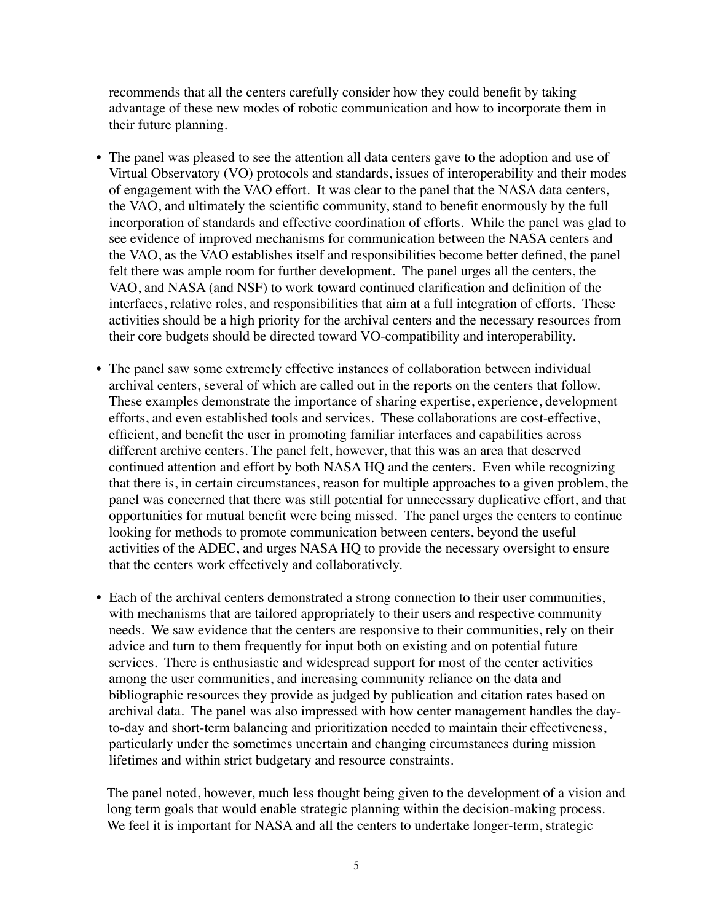recommends that all the centers carefully consider how they could benefit by taking advantage of these new modes of robotic communication and how to incorporate them in their future planning.

- The panel was pleased to see the attention all data centers gave to the adoption and use of Virtual Observatory (VO) protocols and standards, issues of interoperability and their modes of engagement with the VAO effort. It was clear to the panel that the NASA data centers, the VAO, and ultimately the scientific community, stand to benefit enormously by the full incorporation of standards and effective coordination of efforts. While the panel was glad to see evidence of improved mechanisms for communication between the NASA centers and the VAO, as the VAO establishes itself and responsibilities become better defined, the panel felt there was ample room for further development. The panel urges all the centers, the VAO, and NASA (and NSF) to work toward continued clarification and definition of the interfaces, relative roles, and responsibilities that aim at a full integration of efforts. These activities should be a high priority for the archival centers and the necessary resources from their core budgets should be directed toward VO-compatibility and interoperability.
- The panel saw some extremely effective instances of collaboration between individual archival centers, several of which are called out in the reports on the centers that follow. These examples demonstrate the importance of sharing expertise, experience, development efforts, and even established tools and services. These collaborations are cost-effective, efficient, and benefit the user in promoting familiar interfaces and capabilities across different archive centers. The panel felt, however, that this was an area that deserved continued attention and effort by both NASA HQ and the centers. Even while recognizing that there is, in certain circumstances, reason for multiple approaches to a given problem, the panel was concerned that there was still potential for unnecessary duplicative effort, and that opportunities for mutual benefit were being missed. The panel urges the centers to continue looking for methods to promote communication between centers, beyond the useful activities of the ADEC, and urges NASA HQ to provide the necessary oversight to ensure that the centers work effectively and collaboratively.
- Each of the archival centers demonstrated a strong connection to their user communities, with mechanisms that are tailored appropriately to their users and respective community needs. We saw evidence that the centers are responsive to their communities, rely on their advice and turn to them frequently for input both on existing and on potential future services. There is enthusiastic and widespread support for most of the center activities among the user communities, and increasing community reliance on the data and bibliographic resources they provide as judged by publication and citation rates based on archival data. The panel was also impressed with how center management handles the dayto-day and short-term balancing and prioritization needed to maintain their effectiveness, particularly under the sometimes uncertain and changing circumstances during mission lifetimes and within strict budgetary and resource constraints.

The panel noted, however, much less thought being given to the development of a vision and long term goals that would enable strategic planning within the decision-making process. We feel it is important for NASA and all the centers to undertake longer-term, strategic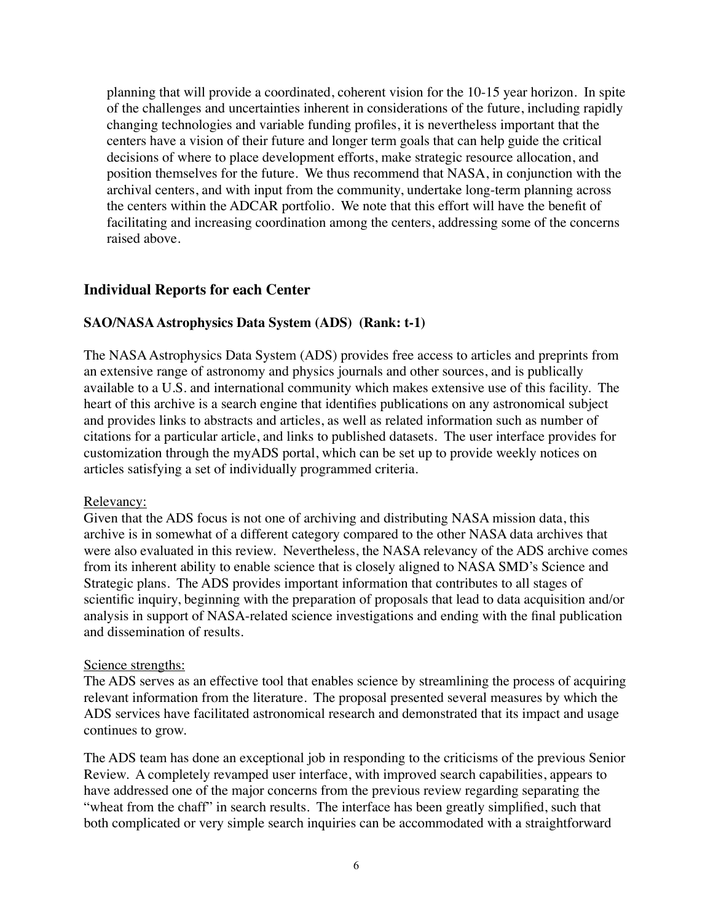planning that will provide a coordinated, coherent vision for the 10-15 year horizon. In spite of the challenges and uncertainties inherent in considerations of the future, including rapidly changing technologies and variable funding profiles, it is nevertheless important that the centers have a vision of their future and longer term goals that can help guide the critical decisions of where to place development efforts, make strategic resource allocation, and position themselves for the future. We thus recommend that NASA, in conjunction with the archival centers, and with input from the community, undertake long-term planning across the centers within the ADCAR portfolio. We note that this effort will have the benefit of facilitating and increasing coordination among the centers, addressing some of the concerns raised above.

# **Individual Reports for each Center**

### **SAO/NASA Astrophysics Data System (ADS) (Rank: t-1)**

The NASA Astrophysics Data System (ADS) provides free access to articles and preprints from an extensive range of astronomy and physics journals and other sources, and is publically available to a U.S. and international community which makes extensive use of this facility. The heart of this archive is a search engine that identifies publications on any astronomical subject and provides links to abstracts and articles, as well as related information such as number of citations for a particular article, and links to published datasets. The user interface provides for customization through the myADS portal, which can be set up to provide weekly notices on articles satisfying a set of individually programmed criteria.

#### Relevancy:

Given that the ADS focus is not one of archiving and distributing NASA mission data, this archive is in somewhat of a different category compared to the other NASA data archives that were also evaluated in this review. Nevertheless, the NASA relevancy of the ADS archive comes from its inherent ability to enable science that is closely aligned to NASA SMD's Science and Strategic plans. The ADS provides important information that contributes to all stages of scientific inquiry, beginning with the preparation of proposals that lead to data acquisition and/or analysis in support of NASA-related science investigations and ending with the final publication and dissemination of results.

#### Science strengths:

The ADS serves as an effective tool that enables science by streamlining the process of acquiring relevant information from the literature. The proposal presented several measures by which the ADS services have facilitated astronomical research and demonstrated that its impact and usage continues to grow.

The ADS team has done an exceptional job in responding to the criticisms of the previous Senior Review. A completely revamped user interface, with improved search capabilities, appears to have addressed one of the major concerns from the previous review regarding separating the "wheat from the chaff" in search results. The interface has been greatly simplified, such that both complicated or very simple search inquiries can be accommodated with a straightforward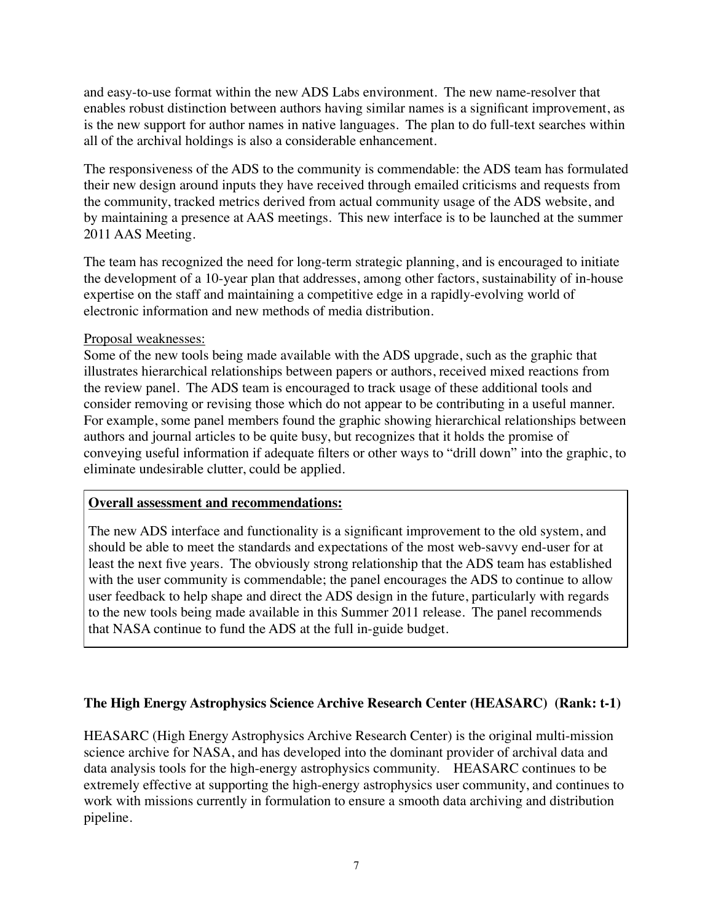and easy-to-use format within the new ADS Labs environment. The new name-resolver that enables robust distinction between authors having similar names is a significant improvement, as is the new support for author names in native languages. The plan to do full-text searches within all of the archival holdings is also a considerable enhancement.

The responsiveness of the ADS to the community is commendable: the ADS team has formulated their new design around inputs they have received through emailed criticisms and requests from the community, tracked metrics derived from actual community usage of the ADS website, and by maintaining a presence at AAS meetings. This new interface is to be launched at the summer 2011 AAS Meeting.

The team has recognized the need for long-term strategic planning, and is encouraged to initiate the development of a 10-year plan that addresses, among other factors, sustainability of in-house expertise on the staff and maintaining a competitive edge in a rapidly-evolving world of electronic information and new methods of media distribution.

### Proposal weaknesses:

Some of the new tools being made available with the ADS upgrade, such as the graphic that illustrates hierarchical relationships between papers or authors, received mixed reactions from the review panel. The ADS team is encouraged to track usage of these additional tools and consider removing or revising those which do not appear to be contributing in a useful manner. For example, some panel members found the graphic showing hierarchical relationships between authors and journal articles to be quite busy, but recognizes that it holds the promise of conveying useful information if adequate filters or other ways to "drill down" into the graphic, to eliminate undesirable clutter, could be applied.

# **Overall assessment and recommendations:**

The new ADS interface and functionality is a significant improvement to the old system, and should be able to meet the standards and expectations of the most web-savvy end-user for at least the next five years. The obviously strong relationship that the ADS team has established with the user community is commendable; the panel encourages the ADS to continue to allow user feedback to help shape and direct the ADS design in the future, particularly with regards to the new tools being made available in this Summer 2011 release. The panel recommends that NASA continue to fund the ADS at the full in-guide budget.

# **The High Energy Astrophysics Science Archive Research Center (HEASARC) (Rank: t-1)**

HEASARC (High Energy Astrophysics Archive Research Center) is the original multi-mission science archive for NASA, and has developed into the dominant provider of archival data and data analysis tools for the high-energy astrophysics community. HEASARC continues to be extremely effective at supporting the high-energy astrophysics user community, and continues to work with missions currently in formulation to ensure a smooth data archiving and distribution pipeline.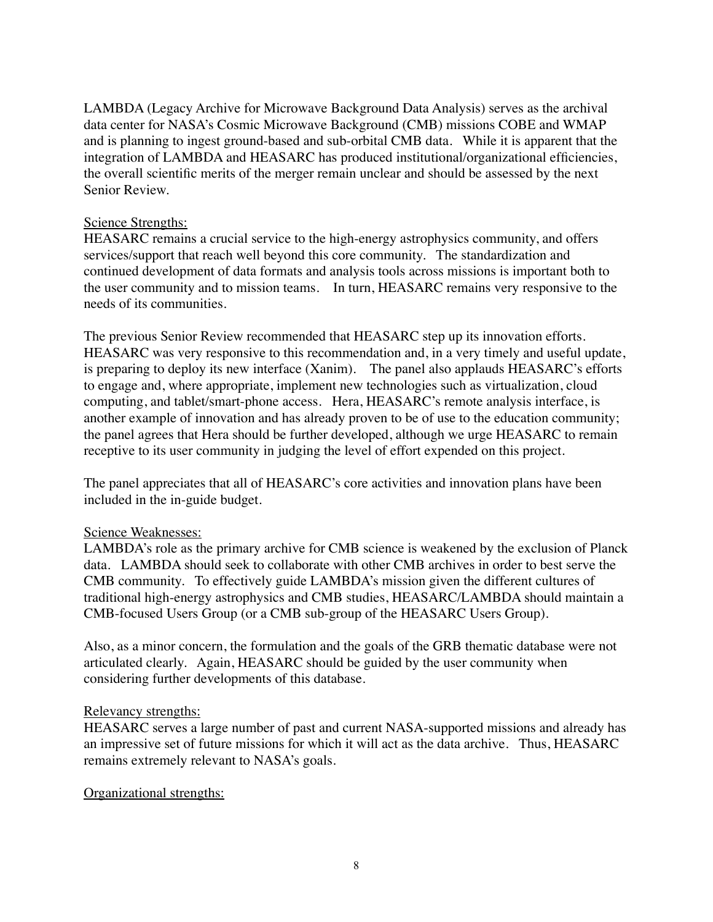LAMBDA (Legacy Archive for Microwave Background Data Analysis) serves as the archival data center for NASA's Cosmic Microwave Background (CMB) missions COBE and WMAP and is planning to ingest ground-based and sub-orbital CMB data. While it is apparent that the integration of LAMBDA and HEASARC has produced institutional/organizational efficiencies, the overall scientific merits of the merger remain unclear and should be assessed by the next Senior Review.

### Science Strengths:

HEASARC remains a crucial service to the high-energy astrophysics community, and offers services/support that reach well beyond this core community. The standardization and continued development of data formats and analysis tools across missions is important both to the user community and to mission teams. In turn, HEASARC remains very responsive to the needs of its communities.

The previous Senior Review recommended that HEASARC step up its innovation efforts. HEASARC was very responsive to this recommendation and, in a very timely and useful update, is preparing to deploy its new interface (Xanim). The panel also applauds HEASARC's efforts to engage and, where appropriate, implement new technologies such as virtualization, cloud computing, and tablet/smart-phone access. Hera, HEASARC's remote analysis interface, is another example of innovation and has already proven to be of use to the education community; the panel agrees that Hera should be further developed, although we urge HEASARC to remain receptive to its user community in judging the level of effort expended on this project.

The panel appreciates that all of HEASARC's core activities and innovation plans have been included in the in-guide budget.

### Science Weaknesses:

LAMBDA's role as the primary archive for CMB science is weakened by the exclusion of Planck data. LAMBDA should seek to collaborate with other CMB archives in order to best serve the CMB community. To effectively guide LAMBDA's mission given the different cultures of traditional high-energy astrophysics and CMB studies, HEASARC/LAMBDA should maintain a CMB-focused Users Group (or a CMB sub-group of the HEASARC Users Group).

Also, as a minor concern, the formulation and the goals of the GRB thematic database were not articulated clearly. Again, HEASARC should be guided by the user community when considering further developments of this database.

### Relevancy strengths:

HEASARC serves a large number of past and current NASA-supported missions and already has an impressive set of future missions for which it will act as the data archive. Thus, HEASARC remains extremely relevant to NASA's goals.

### Organizational strengths: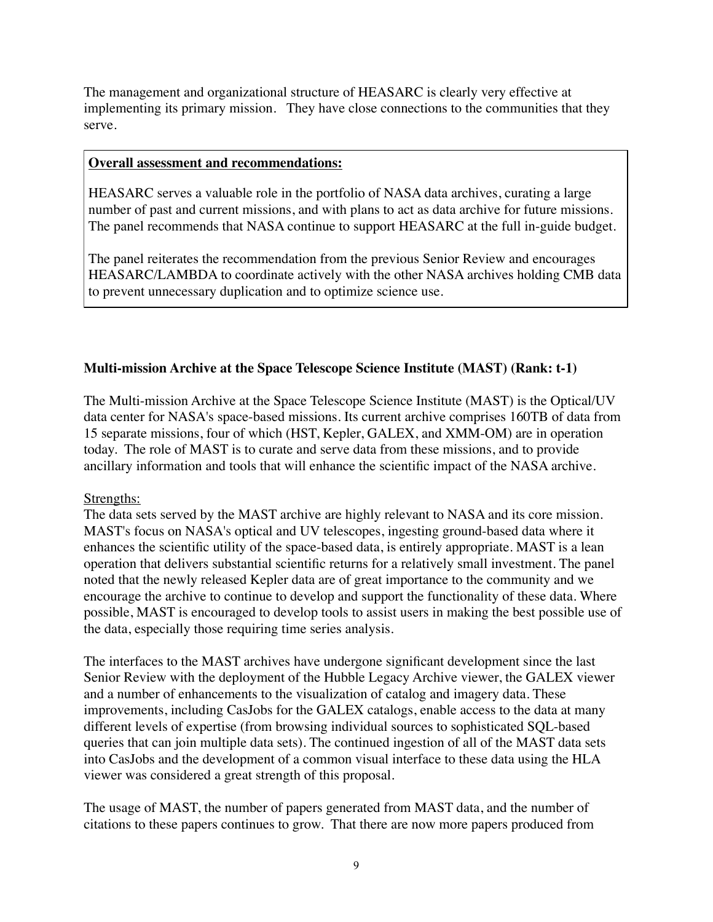The management and organizational structure of HEASARC is clearly very effective at implementing its primary mission. They have close connections to the communities that they serve.

### **Overall assessment and recommendations:**

HEASARC serves a valuable role in the portfolio of NASA data archives, curating a large number of past and current missions, and with plans to act as data archive for future missions. The panel recommends that NASA continue to support HEASARC at the full in-guide budget.

The panel reiterates the recommendation from the previous Senior Review and encourages HEASARC/LAMBDA to coordinate actively with the other NASA archives holding CMB data to prevent unnecessary duplication and to optimize science use.

### **Multi-mission Archive at the Space Telescope Science Institute (MAST) (Rank: t-1)**

The Multi-mission Archive at the Space Telescope Science Institute (MAST) is the Optical/UV data center for NASA's space-based missions. Its current archive comprises 160TB of data from 15 separate missions, four of which (HST, Kepler, GALEX, and XMM-OM) are in operation today. The role of MAST is to curate and serve data from these missions, and to provide ancillary information and tools that will enhance the scientific impact of the NASA archive.

### Strengths:

The data sets served by the MAST archive are highly relevant to NASA and its core mission. MAST's focus on NASA's optical and UV telescopes, ingesting ground-based data where it enhances the scientific utility of the space-based data, is entirely appropriate. MAST is a lean operation that delivers substantial scientific returns for a relatively small investment. The panel noted that the newly released Kepler data are of great importance to the community and we encourage the archive to continue to develop and support the functionality of these data. Where possible, MAST is encouraged to develop tools to assist users in making the best possible use of the data, especially those requiring time series analysis.

The interfaces to the MAST archives have undergone significant development since the last Senior Review with the deployment of the Hubble Legacy Archive viewer, the GALEX viewer and a number of enhancements to the visualization of catalog and imagery data. These improvements, including CasJobs for the GALEX catalogs, enable access to the data at many different levels of expertise (from browsing individual sources to sophisticated SQL-based queries that can join multiple data sets). The continued ingestion of all of the MAST data sets into CasJobs and the development of a common visual interface to these data using the HLA viewer was considered a great strength of this proposal.

The usage of MAST, the number of papers generated from MAST data, and the number of citations to these papers continues to grow. That there are now more papers produced from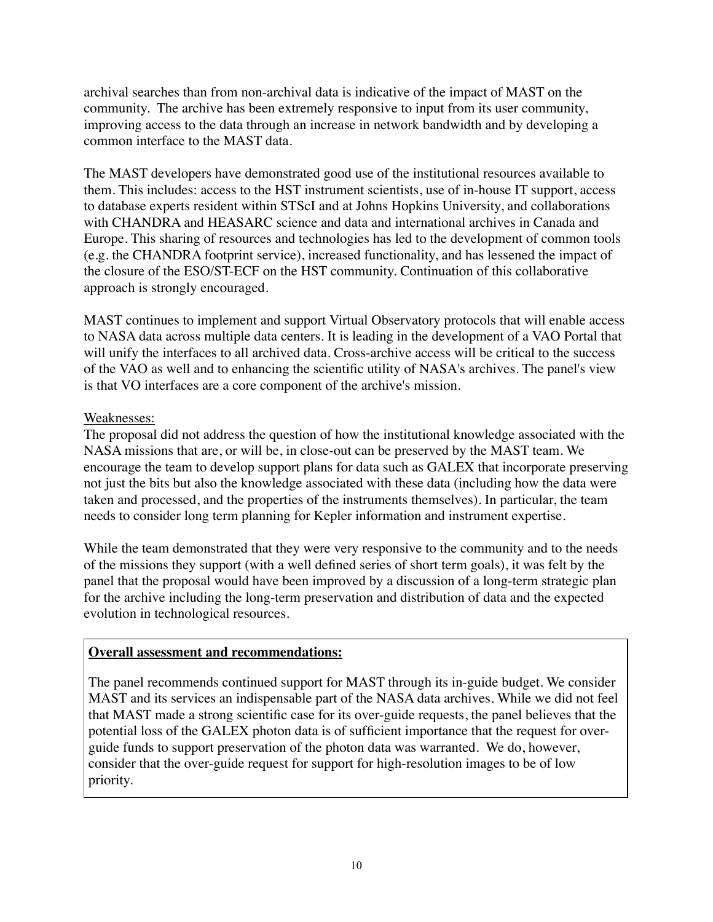archival searches than from non-archival data is indicative of the impact of MAST on the community. The archive has been extremely responsive to input from its user community, improving access to the data through an increase in network bandwidth and by developing a common interface to the MAST data.

The MAST developers have demonstrated good use of the institutional resources available to them. This includes: access to the HST instrument scientists, use of in-house IT support, access to database experts resident within STScI and at Johns Hopkins University, and collaborations with CHANDRA and HEASARC science and data and international archives in Canada and Europe. This sharing of resources and technologies has led to the development of common tools (e.g. the CHANDRA footprint service), increased functionality, and has lessened the impact of the closure of the ESO/ST-ECF on the HST community. Continuation of this collaborative approach is strongly encouraged.

MAST continues to implement and support Virtual Observatory protocols that will enable access to NASA data across multiple data centers. It is leading in the development of a VAO Portal that will unify the interfaces to all archived data. Cross-archive access will be critical to the success of the VAO as well and to enhancing the scientific utility of NASA's archives. The panel's view is that VO interfaces are a core component of the archive's mission.

### Weaknesses:

The proposal did not address the question of how the institutional knowledge associated with the NASA missions that are, or will be, in close-out can be preserved by the MAST team. We encourage the team to develop support plans for data such as GALEX that incorporate preserving not just the bits but also the knowledge associated with these data (including how the data were taken and processed, and the properties of the instruments themselves). In particular, the team needs to consider long term planning for Kepler information and instrument expertise.

While the team demonstrated that they were very responsive to the community and to the needs of the missions they support (with a well defined series of short term goals), it was felt by the panel that the proposal would have been improved by a discussion of a long-term strategic plan for the archive including the long-term preservation and distribution of data and the expected evolution in technological resources.

# **Overall assessment and recommendations:**

The panel recommends continued support for MAST through its in-guide budget. We consider MAST and its services an indispensable part of the NASA data archives. While we did not feel that MAST made a strong scientific case for its over-guide requests, the panel believes that the potential loss of the GALEX photon data is of sufficient importance that the request for overguide funds to support preservation of the photon data was warranted. We do, however, consider that the over-guide request for support for high-resolution images to be of low priority.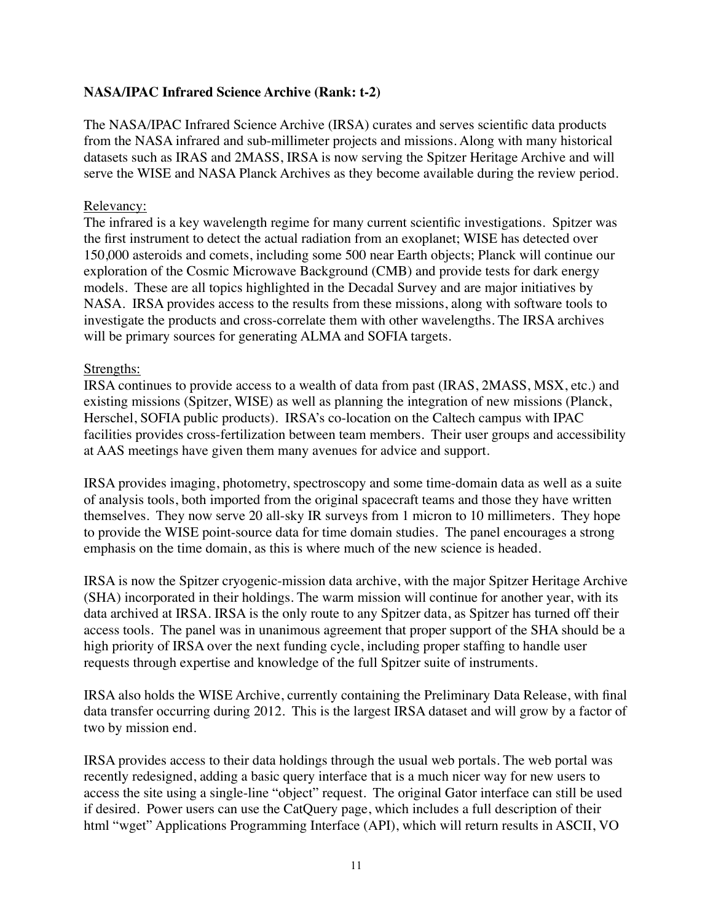# **NASA/IPAC Infrared Science Archive (Rank: t-2)**

The NASA/IPAC Infrared Science Archive (IRSA) curates and serves scientific data products from the NASA infrared and sub-millimeter projects and missions. Along with many historical datasets such as IRAS and 2MASS, IRSA is now serving the Spitzer Heritage Archive and will serve the WISE and NASA Planck Archives as they become available during the review period.

### Relevancy:

The infrared is a key wavelength regime for many current scientific investigations. Spitzer was the first instrument to detect the actual radiation from an exoplanet; WISE has detected over 150,000 asteroids and comets, including some 500 near Earth objects; Planck will continue our exploration of the Cosmic Microwave Background (CMB) and provide tests for dark energy models. These are all topics highlighted in the Decadal Survey and are major initiatives by NASA. IRSA provides access to the results from these missions, along with software tools to investigate the products and cross-correlate them with other wavelengths. The IRSA archives will be primary sources for generating ALMA and SOFIA targets.

#### Strengths:

IRSA continues to provide access to a wealth of data from past (IRAS, 2MASS, MSX, etc.) and existing missions (Spitzer, WISE) as well as planning the integration of new missions (Planck, Herschel, SOFIA public products). IRSA's co-location on the Caltech campus with IPAC facilities provides cross-fertilization between team members. Their user groups and accessibility at AAS meetings have given them many avenues for advice and support.

IRSA provides imaging, photometry, spectroscopy and some time-domain data as well as a suite of analysis tools, both imported from the original spacecraft teams and those they have written themselves. They now serve 20 all-sky IR surveys from 1 micron to 10 millimeters. They hope to provide the WISE point-source data for time domain studies. The panel encourages a strong emphasis on the time domain, as this is where much of the new science is headed.

IRSA is now the Spitzer cryogenic-mission data archive, with the major Spitzer Heritage Archive (SHA) incorporated in their holdings. The warm mission will continue for another year, with its data archived at IRSA. IRSA is the only route to any Spitzer data, as Spitzer has turned off their access tools. The panel was in unanimous agreement that proper support of the SHA should be a high priority of IRSA over the next funding cycle, including proper staffing to handle user requests through expertise and knowledge of the full Spitzer suite of instruments.

IRSA also holds the WISE Archive, currently containing the Preliminary Data Release, with final data transfer occurring during 2012. This is the largest IRSA dataset and will grow by a factor of two by mission end.

IRSA provides access to their data holdings through the usual web portals. The web portal was recently redesigned, adding a basic query interface that is a much nicer way for new users to access the site using a single-line "object" request. The original Gator interface can still be used if desired. Power users can use the CatQuery page, which includes a full description of their html "wget" Applications Programming Interface (API), which will return results in ASCII, VO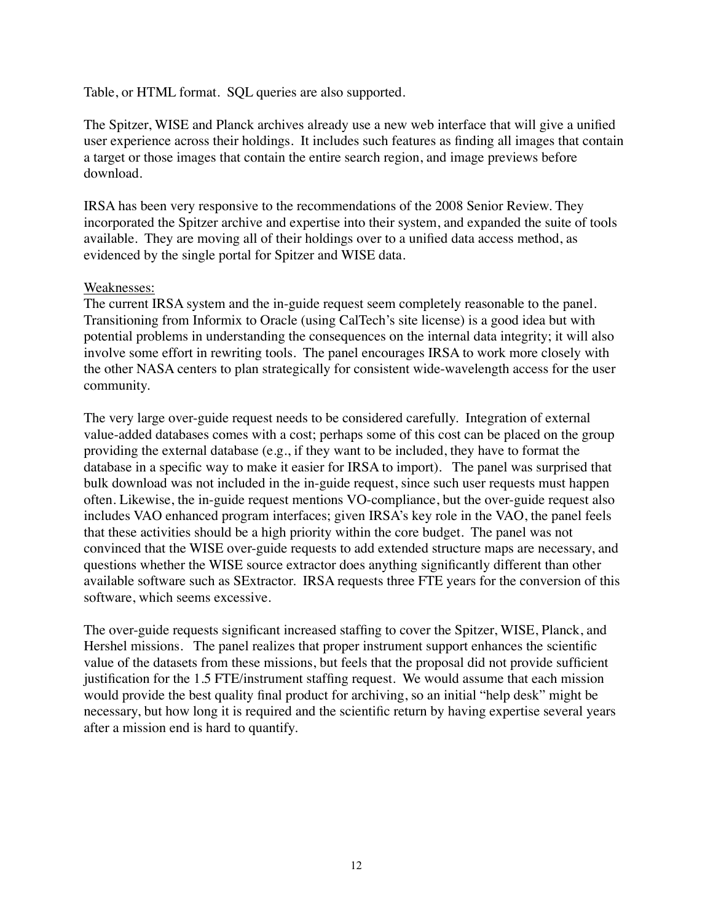Table, or HTML format. SQL queries are also supported.

The Spitzer, WISE and Planck archives already use a new web interface that will give a unified user experience across their holdings. It includes such features as finding all images that contain a target or those images that contain the entire search region, and image previews before download.

IRSA has been very responsive to the recommendations of the 2008 Senior Review. They incorporated the Spitzer archive and expertise into their system, and expanded the suite of tools available. They are moving all of their holdings over to a unified data access method, as evidenced by the single portal for Spitzer and WISE data.

#### Weaknesses:

The current IRSA system and the in-guide request seem completely reasonable to the panel. Transitioning from Informix to Oracle (using CalTech's site license) is a good idea but with potential problems in understanding the consequences on the internal data integrity; it will also involve some effort in rewriting tools. The panel encourages IRSA to work more closely with the other NASA centers to plan strategically for consistent wide-wavelength access for the user community.

The very large over-guide request needs to be considered carefully. Integration of external value-added databases comes with a cost; perhaps some of this cost can be placed on the group providing the external database (e.g., if they want to be included, they have to format the database in a specific way to make it easier for IRSA to import). The panel was surprised that bulk download was not included in the in-guide request, since such user requests must happen often. Likewise, the in-guide request mentions VO-compliance, but the over-guide request also includes VAO enhanced program interfaces; given IRSA's key role in the VAO, the panel feels that these activities should be a high priority within the core budget. The panel was not convinced that the WISE over-guide requests to add extended structure maps are necessary, and questions whether the WISE source extractor does anything significantly different than other available software such as SExtractor. IRSA requests three FTE years for the conversion of this software, which seems excessive.

The over-guide requests significant increased staffing to cover the Spitzer, WISE, Planck, and Hershel missions. The panel realizes that proper instrument support enhances the scientific value of the datasets from these missions, but feels that the proposal did not provide sufficient justification for the 1.5 FTE/instrument staffing request. We would assume that each mission would provide the best quality final product for archiving, so an initial "help desk" might be necessary, but how long it is required and the scientific return by having expertise several years after a mission end is hard to quantify.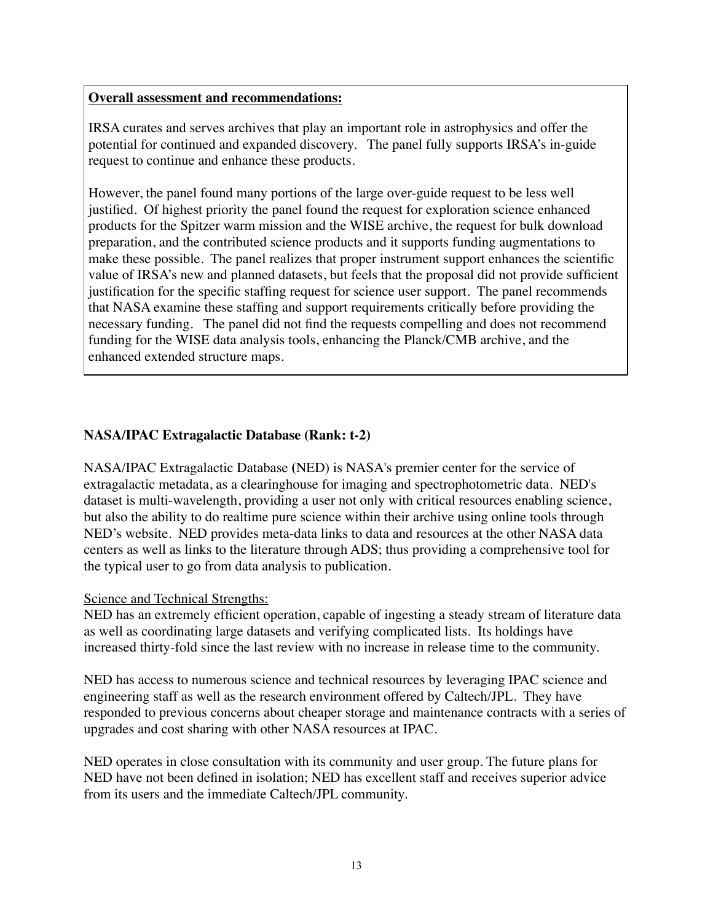### **Overall assessment and recommendations:**

IRSA curates and serves archives that play an important role in astrophysics and offer the potential for continued and expanded discovery. The panel fully supports IRSA's in-guide request to continue and enhance these products.

However, the panel found many portions of the large over-guide request to be less well justified. Of highest priority the panel found the request for exploration science enhanced products for the Spitzer warm mission and the WISE archive, the request for bulk download preparation, and the contributed science products and it supports funding augmentations to make these possible. The panel realizes that proper instrument support enhances the scientific value of IRSA's new and planned datasets, but feels that the proposal did not provide sufficient justification for the specific staffing request for science user support. The panel recommends that NASA examine these staffing and support requirements critically before providing the necessary funding. The panel did not find the requests compelling and does not recommend funding for the WISE data analysis tools, enhancing the Planck/CMB archive, and the enhanced extended structure maps.

# **NASA/IPAC Extragalactic Database (Rank: t-2)**

NASA/IPAC Extragalactic Database **(**NED) is NASA's premier center for the service of extragalactic metadata, as a clearinghouse for imaging and spectrophotometric data. NED's dataset is multi-wavelength, providing a user not only with critical resources enabling science, but also the ability to do realtime pure science within their archive using online tools through NED's website. NED provides meta-data links to data and resources at the other NASA data centers as well as links to the literature through ADS; thus providing a comprehensive tool for the typical user to go from data analysis to publication.

### Science and Technical Strengths:

NED has an extremely efficient operation, capable of ingesting a steady stream of literature data as well as coordinating large datasets and verifying complicated lists. Its holdings have increased thirty-fold since the last review with no increase in release time to the community.

NED has access to numerous science and technical resources by leveraging IPAC science and engineering staff as well as the research environment offered by Caltech/JPL. They have responded to previous concerns about cheaper storage and maintenance contracts with a series of upgrades and cost sharing with other NASA resources at IPAC.

NED operates in close consultation with its community and user group. The future plans for NED have not been defined in isolation; NED has excellent staff and receives superior advice from its users and the immediate Caltech/JPL community.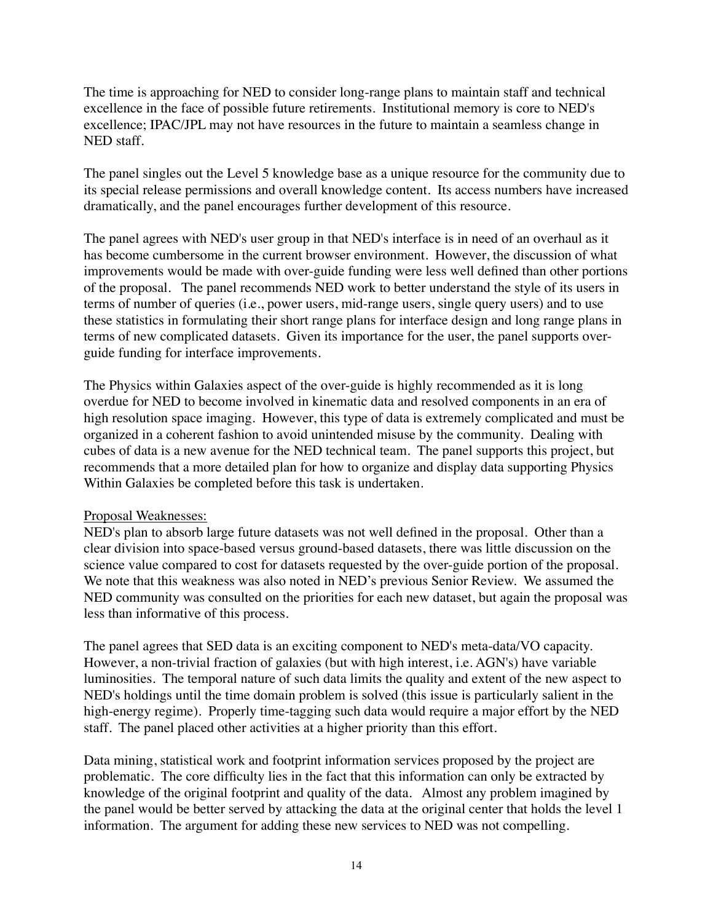The time is approaching for NED to consider long-range plans to maintain staff and technical excellence in the face of possible future retirements. Institutional memory is core to NED's excellence; IPAC/JPL may not have resources in the future to maintain a seamless change in NED staff.

The panel singles out the Level 5 knowledge base as a unique resource for the community due to its special release permissions and overall knowledge content. Its access numbers have increased dramatically, and the panel encourages further development of this resource.

The panel agrees with NED's user group in that NED's interface is in need of an overhaul as it has become cumbersome in the current browser environment. However, the discussion of what improvements would be made with over-guide funding were less well defined than other portions of the proposal. The panel recommends NED work to better understand the style of its users in terms of number of queries (i.e., power users, mid-range users, single query users) and to use these statistics in formulating their short range plans for interface design and long range plans in terms of new complicated datasets. Given its importance for the user, the panel supports overguide funding for interface improvements.

The Physics within Galaxies aspect of the over-guide is highly recommended as it is long overdue for NED to become involved in kinematic data and resolved components in an era of high resolution space imaging. However, this type of data is extremely complicated and must be organized in a coherent fashion to avoid unintended misuse by the community. Dealing with cubes of data is a new avenue for the NED technical team. The panel supports this project, but recommends that a more detailed plan for how to organize and display data supporting Physics Within Galaxies be completed before this task is undertaken.

### Proposal Weaknesses:

NED's plan to absorb large future datasets was not well defined in the proposal. Other than a clear division into space-based versus ground-based datasets, there was little discussion on the science value compared to cost for datasets requested by the over-guide portion of the proposal. We note that this weakness was also noted in NED's previous Senior Review. We assumed the NED community was consulted on the priorities for each new dataset, but again the proposal was less than informative of this process.

The panel agrees that SED data is an exciting component to NED's meta-data/VO capacity. However, a non-trivial fraction of galaxies (but with high interest, i.e. AGN's) have variable luminosities. The temporal nature of such data limits the quality and extent of the new aspect to NED's holdings until the time domain problem is solved (this issue is particularly salient in the high-energy regime). Properly time-tagging such data would require a major effort by the NED staff. The panel placed other activities at a higher priority than this effort.

Data mining, statistical work and footprint information services proposed by the project are problematic. The core difficulty lies in the fact that this information can only be extracted by knowledge of the original footprint and quality of the data. Almost any problem imagined by the panel would be better served by attacking the data at the original center that holds the level 1 information. The argument for adding these new services to NED was not compelling.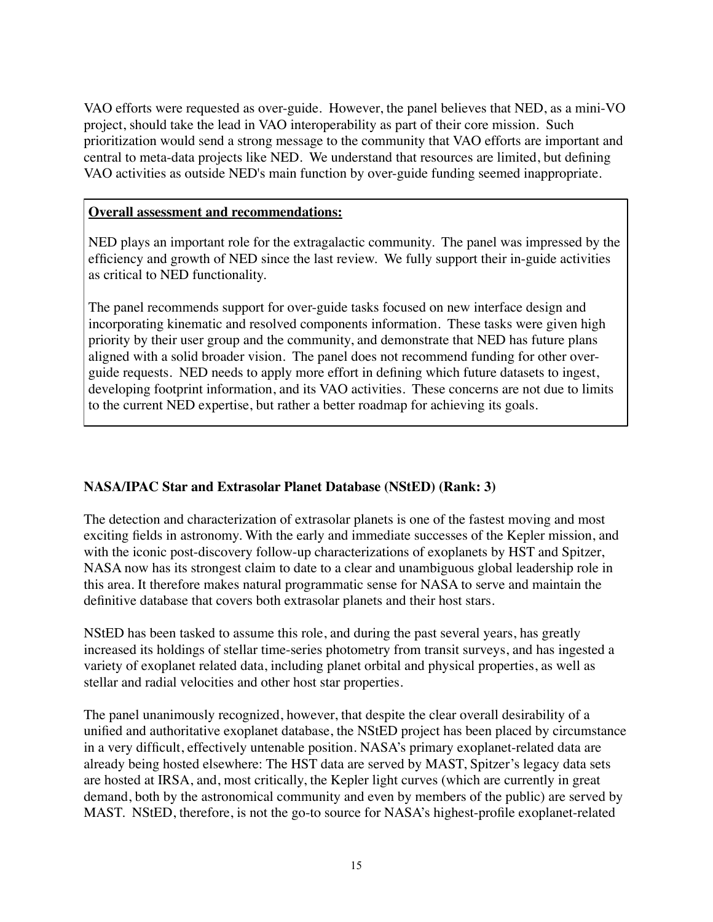VAO efforts were requested as over-guide. However, the panel believes that NED, as a mini-VO project, should take the lead in VAO interoperability as part of their core mission. Such prioritization would send a strong message to the community that VAO efforts are important and central to meta-data projects like NED. We understand that resources are limited, but defining VAO activities as outside NED's main function by over-guide funding seemed inappropriate.

### **Overall assessment and recommendations:**

NED plays an important role for the extragalactic community. The panel was impressed by the efficiency and growth of NED since the last review. We fully support their in-guide activities as critical to NED functionality.

The panel recommends support for over-guide tasks focused on new interface design and incorporating kinematic and resolved components information. These tasks were given high priority by their user group and the community, and demonstrate that NED has future plans aligned with a solid broader vision. The panel does not recommend funding for other overguide requests. NED needs to apply more effort in defining which future datasets to ingest, developing footprint information, and its VAO activities. These concerns are not due to limits to the current NED expertise, but rather a better roadmap for achieving its goals.

# **NASA/IPAC Star and Extrasolar Planet Database (NStED) (Rank: 3)**

The detection and characterization of extrasolar planets is one of the fastest moving and most exciting fields in astronomy. With the early and immediate successes of the Kepler mission, and with the iconic post-discovery follow-up characterizations of exoplanets by HST and Spitzer, NASA now has its strongest claim to date to a clear and unambiguous global leadership role in this area. It therefore makes natural programmatic sense for NASA to serve and maintain the definitive database that covers both extrasolar planets and their host stars.

NStED has been tasked to assume this role, and during the past several years, has greatly increased its holdings of stellar time-series photometry from transit surveys, and has ingested a variety of exoplanet related data, including planet orbital and physical properties, as well as stellar and radial velocities and other host star properties.

The panel unanimously recognized, however, that despite the clear overall desirability of a unified and authoritative exoplanet database, the NStED project has been placed by circumstance in a very difficult, effectively untenable position. NASA's primary exoplanet-related data are already being hosted elsewhere: The HST data are served by MAST, Spitzer's legacy data sets are hosted at IRSA, and, most critically, the Kepler light curves (which are currently in great demand, both by the astronomical community and even by members of the public) are served by MAST. NStED, therefore, is not the go-to source for NASA's highest-profile exoplanet-related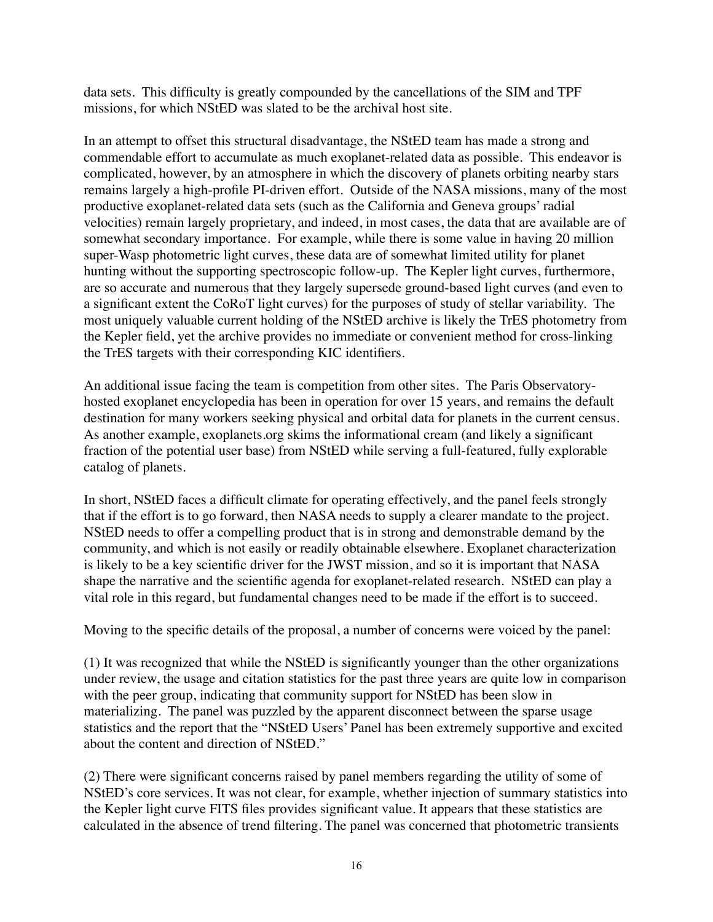data sets. This difficulty is greatly compounded by the cancellations of the SIM and TPF missions, for which NStED was slated to be the archival host site.

In an attempt to offset this structural disadvantage, the NStED team has made a strong and commendable effort to accumulate as much exoplanet-related data as possible. This endeavor is complicated, however, by an atmosphere in which the discovery of planets orbiting nearby stars remains largely a high-profile PI-driven effort. Outside of the NASA missions, many of the most productive exoplanet-related data sets (such as the California and Geneva groups' radial velocities) remain largely proprietary, and indeed, in most cases, the data that are available are of somewhat secondary importance. For example, while there is some value in having 20 million super-Wasp photometric light curves, these data are of somewhat limited utility for planet hunting without the supporting spectroscopic follow-up. The Kepler light curves, furthermore, are so accurate and numerous that they largely supersede ground-based light curves (and even to a significant extent the CoRoT light curves) for the purposes of study of stellar variability. The most uniquely valuable current holding of the NStED archive is likely the TrES photometry from the Kepler field, yet the archive provides no immediate or convenient method for cross-linking the TrES targets with their corresponding KIC identifiers.

An additional issue facing the team is competition from other sites. The Paris Observatoryhosted exoplanet encyclopedia has been in operation for over 15 years, and remains the default destination for many workers seeking physical and orbital data for planets in the current census. As another example, exoplanets.org skims the informational cream (and likely a significant fraction of the potential user base) from NStED while serving a full-featured, fully explorable catalog of planets.

In short, NStED faces a difficult climate for operating effectively, and the panel feels strongly that if the effort is to go forward, then NASA needs to supply a clearer mandate to the project. NStED needs to offer a compelling product that is in strong and demonstrable demand by the community, and which is not easily or readily obtainable elsewhere. Exoplanet characterization is likely to be a key scientific driver for the JWST mission, and so it is important that NASA shape the narrative and the scientific agenda for exoplanet-related research. NStED can play a vital role in this regard, but fundamental changes need to be made if the effort is to succeed.

Moving to the specific details of the proposal, a number of concerns were voiced by the panel:

(1) It was recognized that while the NStED is significantly younger than the other organizations under review, the usage and citation statistics for the past three years are quite low in comparison with the peer group, indicating that community support for NStED has been slow in materializing. The panel was puzzled by the apparent disconnect between the sparse usage statistics and the report that the "NStED Users' Panel has been extremely supportive and excited about the content and direction of NStED."

(2) There were significant concerns raised by panel members regarding the utility of some of NStED's core services. It was not clear, for example, whether injection of summary statistics into the Kepler light curve FITS files provides significant value. It appears that these statistics are calculated in the absence of trend filtering. The panel was concerned that photometric transients